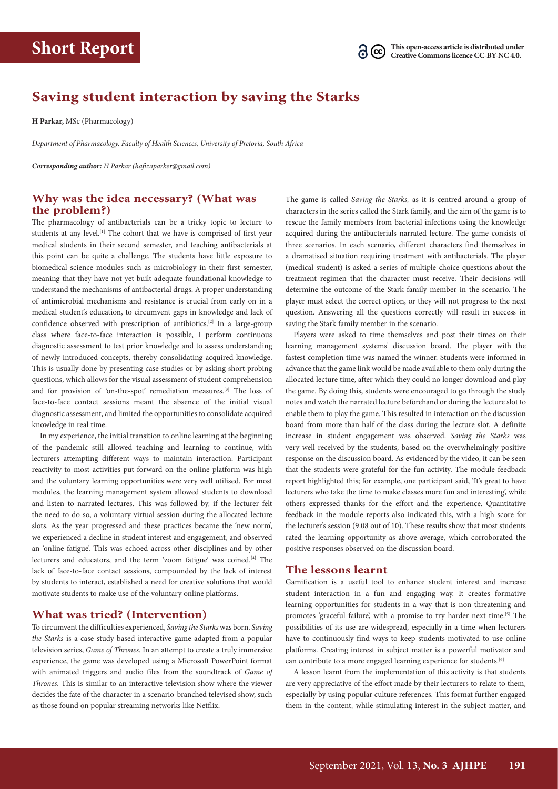

# **Saving student interaction by saving the Starks**

**H Parkar,** MSc (Pharmacology)

*Department of Pharmacology, Faculty of Health Sciences, University of Pretoria, South Africa*

*Corresponding author: H Parkar [\(hafizaparker@gmail.com](mailto:hafizaparker@gmail.com))*

### **Why was the idea necessary? (What was the problem?)**

The pharmacology of antibacterials can be a tricky topic to lecture to students at any level.<sup>[1]</sup> The cohort that we have is comprised of first-year medical students in their second semester, and teaching antibacterials at this point can be quite a challenge. The students have little exposure to biomedical science modules such as microbiology in their first semester, meaning that they have not yet built adequate foundational knowledge to understand the mechanisms of antibacterial drugs. A proper understanding of antimicrobial mechanisms and resistance is crucial from early on in a medical student's education, to circumvent gaps in knowledge and lack of confidence observed with prescription of antibiotics.[2] In a large-group class where face-to-face interaction is possible, I perform continuous diagnostic assessment to test prior knowledge and to assess understanding of newly introduced concepts, thereby consolidating acquired knowledge. This is usually done by presenting case studies or by asking short probing questions, which allows for the visual assessment of student comprehension and for provision of 'on-the-spot' remediation measures.[3] The loss of face-to-face contact sessions meant the absence of the initial visual diagnostic assessment, and limited the opportunities to consolidate acquired knowledge in real time.

In my experience, the initial transition to online learning at the beginning of the pandemic still allowed teaching and learning to continue, with lecturers attempting different ways to maintain interaction. Participant reactivity to most activities put forward on the online platform was high and the voluntary learning opportunities were very well utilised. For most modules, the learning management system allowed students to download and listen to narrated lectures. This was followed by, if the lecturer felt the need to do so, a voluntary virtual session during the allocated lecture slots. As the year progressed and these practices became the 'new norm', we experienced a decline in student interest and engagement, and observed an 'online fatigue'. This was echoed across other disciplines and by other lecturers and educators, and the term 'zoom fatigue' was coined.[4] The lack of face-to-face contact sessions, compounded by the lack of interest by students to interact, established a need for creative solutions that would motivate students to make use of the voluntary online platforms.

#### **What was tried? (Intervention)**

To circumvent the difficulties experienced, *Saving the Starks* was born. *Saving the Starks* is a case study-based interactive game adapted from a popular television series, *Game of Thrones*. In an attempt to create a truly immersive experience, the game was developed using a Microsoft PowerPoint format with animated triggers and audio files from the soundtrack of *Game of Thrones*. This is similar to an interactive television show where the viewer decides the fate of the character in a scenario-branched televised show, such as those found on popular streaming networks like Netflix.

The game is called *Saving the Starks,* as it is centred around a group of characters in the series called the Stark family, and the aim of the game is to rescue the family members from bacterial infections using the knowledge acquired during the antibacterials narrated lecture. The game consists of three scenarios. In each scenario, different characters find themselves in a dramatised situation requiring treatment with antibacterials. The player (medical student) is asked a series of multiple-choice questions about the treatment regimen that the character must receive. Their decisions will determine the outcome of the Stark family member in the scenario. The player must select the correct option, or they will not progress to the next question. Answering all the questions correctly will result in success in saving the Stark family member in the scenario.

Players were asked to time themselves and post their times on their learning management systems' discussion board. The player with the fastest completion time was named the winner. Students were informed in advance that the game link would be made available to them only during the allocated lecture time, after which they could no longer download and play the game. By doing this, students were encouraged to go through the study notes and watch the narrated lecture beforehand or during the lecture slot to enable them to play the game. This resulted in interaction on the discussion board from more than half of the class during the lecture slot. A definite increase in student engagement was observed. *Saving the Starks* was very well received by the students, based on the overwhelmingly positive response on the discussion board. As evidenced by the video, it can be seen that the students were grateful for the fun activity. The module feedback report highlighted this; for example, one participant said, 'It's great to have lecturers who take the time to make classes more fun and interesting', while others expressed thanks for the effort and the experience. Quantitative feedback in the module reports also indicated this, with a high score for the lecturer's session (9.08 out of 10). These results show that most students rated the learning opportunity as above average, which corroborated the positive responses observed on the discussion board.

#### **The lessons learnt**

Gamification is a useful tool to enhance student interest and increase student interaction in a fun and engaging way. It creates formative learning opportunities for students in a way that is non-threatening and promotes 'graceful failure', with a promise to try harder next time.<sup>[5]</sup> The possibilities of its use are widespread, especially in a time when lecturers have to continuously find ways to keep students motivated to use online platforms. Creating interest in subject matter is a powerful motivator and can contribute to a more engaged learning experience for students.[6]

A lesson learnt from the implementation of this activity is that students are very appreciative of the effort made by their lecturers to relate to them, especially by using popular culture references. This format further engaged them in the content, while stimulating interest in the subject matter, and